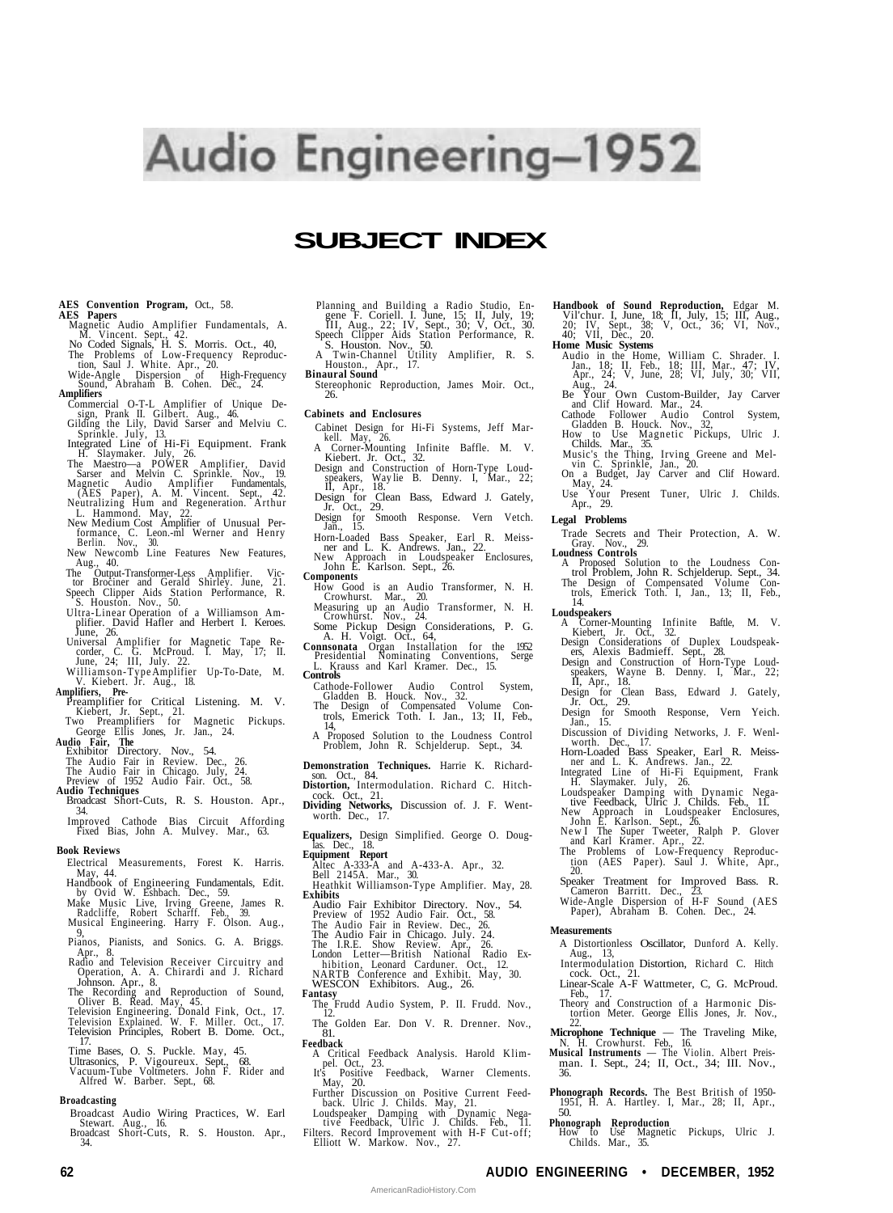# Audio Engineering-1952

# **SUBJECT INDEX**

#### **AES Convention Program,** Oct., 58. **AES Papers**

- Magnetic Audio Amplifier Fundamentals, A.
- 
- M. Vincent. Sept., 42.<br>No Coded Signals, H. S. Morris. Oct., 40,<br>The Problems of Low-Frequency Reproduction, Saul J. White. Apr., 20.<br>Wide-Angle Dispersion of High-Frequency<br>Sound, Abraham B. Cohen. Dec., 24.<br>Amplifiers
- Commercial O-T-L Amplifier of Unique De-Commercial O-1-L Amplifier of Unique De-<br>sign, Prank II. Gilbert. Aug., 46.<br>Gilding the Lily, David Sarser and Melviu C.
- 
- 
- 
- 
- Gilding the Lily, David Sarser and Melviu C.<br>
Sprinkle. July, 13.<br>
Hegrated Line of Hi-Fi Equipment. Frank<br>
H. Slaymaker. July, 26.<br>
The Maestro—a POWER Amplifier, David<br>
Sarser and Melvin C. Sprinkle. Nov., 19.<br>
Magnetic
- 
- The Output-Transformer-Less Amplifier. Vic-tor Brociner and Gerald Shirley. June, 21.
- Speech Clipper Aids Station Performance, R. S. Houston. Nov., 50. Ultra-Linear Operation of a Williamson Am-
- plifier. David Hafler and Herbert I. Keroes.<br>
June, 26.<br>
Universal Amplifier for Magnetic Tape Re-<br>
corder, C. G. McProud. I. May, 17; II.<br>
June, 24; III, July. 22.<br>
Williamson-Type Amplifier Up-To-Date, M.
- 
- V. Kiebert. Jr. Aug., 18.<br> **Amplifiers, Pre-**<br>
Preamplifier for Critical Listening. M. V.<br>
Kiebert, Jr. Sept., 21.<br>
Two Preamplifiers for Magnetic Pickups.<br>
George Ellis Jones, Jr. Jan., 24.
- 
- 
- 
- 
- **Audio Fair, The** Exhibitor Directory. Nov., 54. The Audio Fair in Review. Dec., 26. The Audio Fair in Chicago. July, 24. Preview of 1952 Audio Fair. Oct., 58. **Audio Techniques**
- Broadcast Short-Cuts, R. S. Houston. Apr., 34.
- Improved Cathode Bias Circuit Affording Fixed Bias, John A. Mulvey. Mar., 63.

#### **Book Reviews**

- Electrical Measurements, Forest K. Harris. May, 44. Handbook of Engineering Fundamentals, Edit.
- 
- by Ovid W. Eshbach. Dec., 59. Make Music Live, Irving Greene, James R. Radcliffe, Robert Scharff. Feb., 39. Musical Engineering. Harry F. Olson. Aug.,
- Pianos, Pianists, and Sonics. G. A. Briggs.
- Pianos, Pianists, and Sonics. G. A. Briggs.<br>Apar., 8.<br>Radio and Television Receiver Circuitry and<br>Operation, A. A. Chirardi and J. Richard<br>Johnson. Apr., 8.<br>The Recording and Reproduction of Sound,<br>Oliver B. Read. May, 45.
- 
- 
- 
- 
- Time Bases, O. S. Puckle. May, 45. Ultrasonics, P. Vigoureux. Sept., 68. Vacuum-Tube Voltmeters. John F. Rider and Alfred W. Barber. Sept., 68.

## **Broadcasting**

- Broadcast Audio Wiring Practices, W. Earl Stewart. Aug., 16. Broadcast Short-Cuts, R. S. Houston. Apr.,
- 34.
- Planning and Building a Radio Studio, Engene F. Coriell. I. June, 15: II, July, 19:<br>III, Aug., 22: IV, Sept., 30; V, Oct., 30.<br>Speech Clipper Aids Station Performance, R.<br>S. Houston. Nov., 50.<br>A Twin-Channel Utility Amplif
- 
- **Binaural Sound**
- Stereophonic Reproduction, James Moir. Oct., 26.

#### **Cabinets and Enclosures**

- Cabinet Design for Hi-Fi Systems, Jeff Mar-
- kell. May, 26. A Corner-Mounting Infinite Baffle. M. V. Kiebert. Jr. Oct., 32.
- Design and Construction of Horn-Type Loud-speakers, Way lie B. Denny. I, Mar., 22; II, Apr., 18.
- Design for Clean Bass, Edward J. Gately, Jr. Oct., 29.
- Design for Smooth Response. Vern Vetch. Jan., 15.
- Horn-Loaded Bass Speaker, Earl R. Meiss-ner and L. K. Andrews. Jan., 22. New Approach in Loudspeaker Enclosures, John E. Karlson. Sept., 26.
- **Components** How Good is an Audio Transformer, N. H.
- Crowhurst. Mar., 20. Measuring up an Audio Transformer, N. H. Crowhurst. Nov., 24.
- Some Pickup Design Considerations, P. G.
- A. H. Voigt. Oct., 64, **Connsonata** Organ Installation for the 1952 Presidential Nominating Conventions, Serge
- L. Krauss and Karl Kramer. Dec., 15. **Controls**
- 
- Cathode-Follower Audio Control System, Gladden B. Houck. Nov., 32. The Design of Compensated Volume Con-trols, Emerick Toth. I. Jan., 13; II, Feb.,
- 14, A Proposed Solution to the Loudness Control Problem, John R. Schjelderup. Sept., 34.
- **Demonstration Techniques.** Harrie K. Richard-son. Oct., 84.
- **Distortion,** Intermodulation. Richard C. Hitch-
- cock. Oct., 21. **Dividing Networks,** Discussion of. J. F. Went-worth. Dec., 17.
- Equalizers, Design Simplified. George O. Doug-<br> **Equipment Report**<br>
Altec A-333-A and A-433-A. Apr., 32.<br>
Bell 2145A. Mar., 30.<br>
Bell 2145A. Mar., 30.<br>
Heathkit Williamson-Type Amplifier. May, 28.
- 
- 
- **Exhibits** Audio Fair Exhibitor Directory. Nov., 54.
	-
	-
- 
- Preview of 1952 Audio Fair. Oct., 58.<br>The Audio Fair in Chicago. July. 24.<br>The Audio Fair in Chicago. July. 24.<br>The I.R.E. Show Review. Apr., 26.<br>London Letter—British National Radio Ex-
- 
- hibition, Leonard Carduner. Oct., 12. NARTB Conference and Exhibit. May, 30. WESCON Exhibitors. Aug., 26.
- 
- **Fantasy** The Frudd Audio System, P. II. Frudd. Nov., 12.
- The Golden Ear. Don V. R. Drenner. Nov., 81. **Feedback**
	- A Critical Feedback Analysis. Harold Klim-
	-
- 
- pel. Oct., 23.<br>
It's Positive Feedback, Warner Clements.<br>
May, 20.<br>
Further Discussion on Positive Current Feedback. Ulric J. Childs. May, 21.<br>
Loudspeaker Damping with Dynamic Negative Feedback, Ulric J. Childs. Feb., 11.

**62 AUDIO ENGINEERING • DECEMBER, 1952**

AmericanRadioHistory.Com

- **Handbook of Sound Reproduction,** Edgar M. Vil'chur. I, June, 18; II, July, 15; III, Aug., 20; IV, Sept., 38; V, Oct., 36; VI, Nov., 40; VII, Dec., 20. **Home Music Systems**
	-
	- Audio in the Home, William C. Shrader. I.<br>Jan., 18; II. Feb., 18; III, Mar., 47; IV,<br>Apr., 24; V, June, 28; VI, July, 30; VII,<br>Aug., 24.<br>Be Your Own Custom-Builder, Jay Carver<br>and Clif Howard. Mar., 24.
	- Cathode Follower Audio Control System, Gladden B. Houck. Nov., 32, How to Use Magnetic Pickups, Ulric J. Childs. Mar., 35.
	-
	- Music's the Thing, Irving Greene and Mel-vin C. Sprinkle, Jan., 20. On a Budget, Jay Carver and Clif Howard. May, 24. Use Your Present Tuner, Ulric J. Childs.
	- Apr., 29.
- **Legal Problems**

Trade Secrets and Their Protection, A. W. Gray. Nov., 29. **Loudness Controls**

20.

**Measurements**

Aug., 13,

Feb., 17.

ow to Use Ma<br>Childs. Mar., 35.

36.

- A Proposed Solution to the Loudness Con-trol Problem, John R. Schjelderup. Sept., 34. The Design of Compensated Volume Con-trols, Emerick Toth. I, Jan., 13; II, Feb.,
- 14. **Loudspeakers**
- 
- 
- A Corner-Mounting Infinite Baftle, M. V.<br>Kiebert, Jr. Oct., 32.<br>Design Considerations of Duplex Loudspeak-<br>ers, Alexis Badmieff. Sept., 28.<br>Design and Construction of Horn-Type Loud-<br>speakers, Wayne B. Denny. I, Mar., 22;<br>
- Design for Clean Bass, Edward J. Gately, Jr. Oct., 29.
- Design for Smooth Response, Vern Yeich. Jan., 15.
- 
- Discussion of Dividing Networks, J. F. Wenl-<br>Worth. Dec., 17.<br>Horn-Loaded Bass Speaker, Earl R. Meiss-<br>ner and L. K. Andrews. Jan., 22.<br>Integrated Line of Hi-Fi Equipment, Frank<br>H. Slaymaker. July, 26.
- 
- 
- Loudspeaker Damping with Dynamic Negative Feedback, Ulric J. Childs. Feb., 11.<br>New Feedback, Ulric J. Childs. Feb., 11.<br>John E. Karlson. Sept., 26.<br>New I The Super Tweeter, Ralph P. Glover<br>and Karl Kramer. Apr., 22.<br>The Pr

Speaker Treatment for Improved Bass. R. Cameron Barritt. Dec., 23. Wide-Angle Dispersion of H-F Sound (AES Paper), Abraham B. Cohen. Dec., 24.

A Distortionless Oscillator, Dunford A. Kelly.

Intermodulation Distortion, Richard C. Hitch cock. Oct., 21. Linear-Scale A-F Wattmeter, C, G. McProud.

Theory and Construction of a Harmonic Distortion Meter. George Ellis Jones, Jr. Nov., 22. **Microphone Technique** — The Traveling Mike, N. H. Crowhurst. Feb., 16. **Musical Instruments** — The Violin. Albert Preisman. I. Sept., 24; II, Oct., 34; III. Nov.,

**Phonograph Records.** The Best British of 1950- 1951, H. A. Hartley. I, Mar., 28; II, Apr., 50. **Phonograph Reproduction** How to Use Magnetic Pickups, Ulric J.